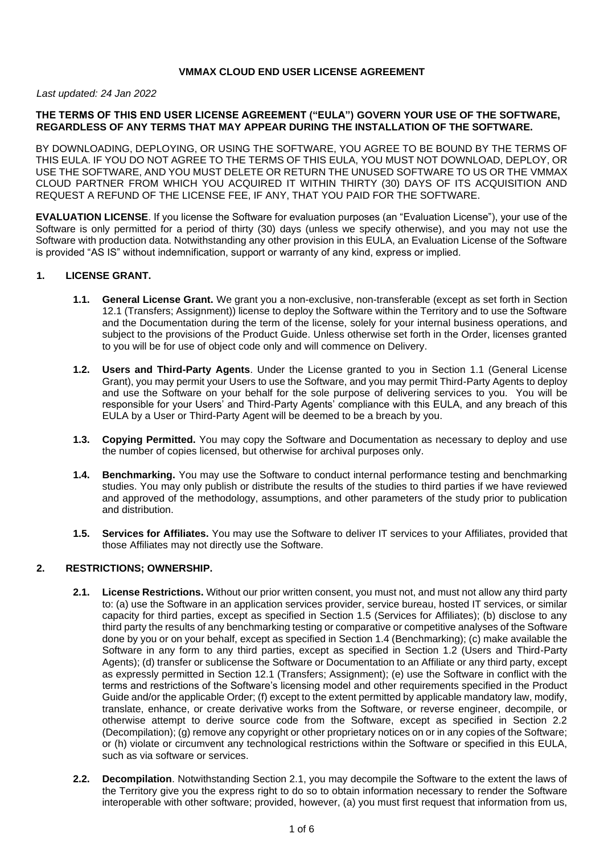## **VMMAX CLOUD END USER LICENSE AGREEMENT**

#### *Last updated: 24 Jan 2022*

### **THE TERMS OF THIS END USER LICENSE AGREEMENT ("EULA") GOVERN YOUR USE OF THE SOFTWARE, REGARDLESS OF ANY TERMS THAT MAY APPEAR DURING THE INSTALLATION OF THE SOFTWARE.**

BY DOWNLOADING, DEPLOYING, OR USING THE SOFTWARE, YOU AGREE TO BE BOUND BY THE TERMS OF THIS EULA. IF YOU DO NOT AGREE TO THE TERMS OF THIS EULA, YOU MUST NOT DOWNLOAD, DEPLOY, OR USE THE SOFTWARE, AND YOU MUST DELETE OR RETURN THE UNUSED SOFTWARE TO US OR THE VMMAX CLOUD PARTNER FROM WHICH YOU ACQUIRED IT WITHIN THIRTY (30) DAYS OF ITS ACQUISITION AND REQUEST A REFUND OF THE LICENSE FEE, IF ANY, THAT YOU PAID FOR THE SOFTWARE.

**EVALUATION LICENSE**. If you license the Software for evaluation purposes (an "Evaluation License"), your use of the Software is only permitted for a period of thirty (30) days (unless we specify otherwise), and you may not use the Software with production data. Notwithstanding any other provision in this EULA, an Evaluation License of the Software is provided "AS IS" without indemnification, support or warranty of any kind, express or implied.

#### **1. LICENSE GRANT.**

- **1.1. General License Grant.** We grant you a non-exclusive, non-transferable (except as set forth in Section 12.1 (Transfers; Assignment)) license to deploy the Software within the Territory and to use the Software and the Documentation during the term of the license, solely for your internal business operations, and subject to the provisions of the Product Guide. Unless otherwise set forth in the Order, licenses granted to you will be for use of object code only and will commence on Delivery.
- **1.2. Users and Third-Party Agents**. Under the License granted to you in Section 1.1 (General License Grant), you may permit your Users to use the Software, and you may permit Third-Party Agents to deploy and use the Software on your behalf for the sole purpose of delivering services to you. You will be responsible for your Users' and Third-Party Agents' compliance with this EULA, and any breach of this EULA by a User or Third-Party Agent will be deemed to be a breach by you.
- **1.3. Copying Permitted.** You may copy the Software and Documentation as necessary to deploy and use the number of copies licensed, but otherwise for archival purposes only.
- **1.4. Benchmarking.** You may use the Software to conduct internal performance testing and benchmarking studies. You may only publish or distribute the results of the studies to third parties if we have reviewed and approved of the methodology, assumptions, and other parameters of the study prior to publication and distribution.
- **1.5. Services for Affiliates.** You may use the Software to deliver IT services to your Affiliates, provided that those Affiliates may not directly use the Software.

#### **2. RESTRICTIONS; OWNERSHIP.**

- **2.1. License Restrictions.** Without our prior written consent, you must not, and must not allow any third party to: (a) use the Software in an application services provider, service bureau, hosted IT services, or similar capacity for third parties, except as specified in Section 1.5 (Services for Affiliates); (b) disclose to any third party the results of any benchmarking testing or comparative or competitive analyses of the Software done by you or on your behalf, except as specified in Section 1.4 (Benchmarking); (c) make available the Software in any form to any third parties, except as specified in Section 1.2 (Users and Third-Party Agents); (d) transfer or sublicense the Software or Documentation to an Affiliate or any third party, except as expressly permitted in Section 12.1 (Transfers; Assignment); (e) use the Software in conflict with the terms and restrictions of the Software's licensing model and other requirements specified in the Product Guide and/or the applicable Order; (f) except to the extent permitted by applicable mandatory law, modify, translate, enhance, or create derivative works from the Software, or reverse engineer, decompile, or otherwise attempt to derive source code from the Software, except as specified in Section 2.2 (Decompilation); (g) remove any copyright or other proprietary notices on or in any copies of the Software; or (h) violate or circumvent any technological restrictions within the Software or specified in this EULA, such as via software or services.
- **2.2. Decompilation**. Notwithstanding Section 2.1, you may decompile the Software to the extent the laws of the Territory give you the express right to do so to obtain information necessary to render the Software interoperable with other software; provided, however, (a) you must first request that information from us,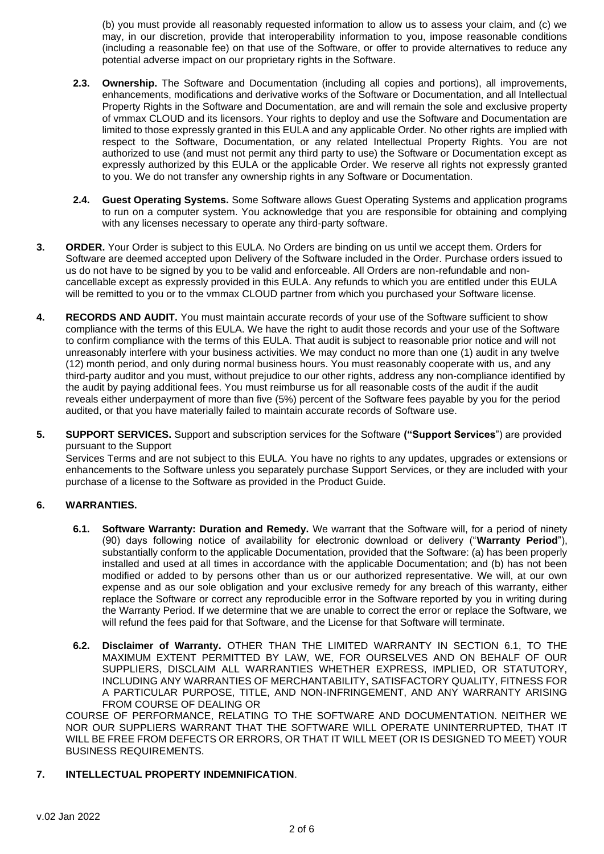(b) you must provide all reasonably requested information to allow us to assess your claim, and (c) we may, in our discretion, provide that interoperability information to you, impose reasonable conditions (including a reasonable fee) on that use of the Software, or offer to provide alternatives to reduce any potential adverse impact on our proprietary rights in the Software.

- **2.3. Ownership.** The Software and Documentation (including all copies and portions), all improvements, enhancements, modifications and derivative works of the Software or Documentation, and all Intellectual Property Rights in the Software and Documentation, are and will remain the sole and exclusive property of vmmax CLOUD and its licensors. Your rights to deploy and use the Software and Documentation are limited to those expressly granted in this EULA and any applicable Order. No other rights are implied with respect to the Software, Documentation, or any related Intellectual Property Rights. You are not authorized to use (and must not permit any third party to use) the Software or Documentation except as expressly authorized by this EULA or the applicable Order. We reserve all rights not expressly granted to you. We do not transfer any ownership rights in any Software or Documentation.
- **2.4. Guest Operating Systems.** Some Software allows Guest Operating Systems and application programs to run on a computer system. You acknowledge that you are responsible for obtaining and complying with any licenses necessary to operate any third-party software.
- **3. ORDER.** Your Order is subject to this EULA. No Orders are binding on us until we accept them. Orders for Software are deemed accepted upon Delivery of the Software included in the Order. Purchase orders issued to us do not have to be signed by you to be valid and enforceable. All Orders are non-refundable and noncancellable except as expressly provided in this EULA. Any refunds to which you are entitled under this EULA will be remitted to you or to the vmmax CLOUD partner from which you purchased your Software license.
- **4. RECORDS AND AUDIT.** You must maintain accurate records of your use of the Software sufficient to show compliance with the terms of this EULA. We have the right to audit those records and your use of the Software to confirm compliance with the terms of this EULA. That audit is subject to reasonable prior notice and will not unreasonably interfere with your business activities. We may conduct no more than one (1) audit in any twelve (12) month period, and only during normal business hours. You must reasonably cooperate with us, and any third-party auditor and you must, without prejudice to our other rights, address any non-compliance identified by the audit by paying additional fees. You must reimburse us for all reasonable costs of the audit if the audit reveals either underpayment of more than five (5%) percent of the Software fees payable by you for the period audited, or that you have materially failed to maintain accurate records of Software use.
- **5. SUPPORT SERVICES.** Support and subscription services for the Software **("Support Services**") are provided pursuant to the Support

Services Terms and are not subject to this EULA. You have no rights to any updates, upgrades or extensions or enhancements to the Software unless you separately purchase Support Services, or they are included with your purchase of a license to the Software as provided in the Product Guide.

# **6. WARRANTIES.**

- **6.1. Software Warranty: Duration and Remedy.** We warrant that the Software will, for a period of ninety (90) days following notice of availability for electronic download or delivery ("**Warranty Period**"), substantially conform to the applicable Documentation, provided that the Software: (a) has been properly installed and used at all times in accordance with the applicable Documentation; and (b) has not been modified or added to by persons other than us or our authorized representative. We will, at our own expense and as our sole obligation and your exclusive remedy for any breach of this warranty, either replace the Software or correct any reproducible error in the Software reported by you in writing during the Warranty Period. If we determine that we are unable to correct the error or replace the Software, we will refund the fees paid for that Software, and the License for that Software will terminate.
- **6.2. Disclaimer of Warranty.** OTHER THAN THE LIMITED WARRANTY IN SECTION 6.1, TO THE MAXIMUM EXTENT PERMITTED BY LAW, WE, FOR OURSELVES AND ON BEHALF OF OUR SUPPLIERS, DISCLAIM ALL WARRANTIES WHETHER EXPRESS, IMPLIED, OR STATUTORY, INCLUDING ANY WARRANTIES OF MERCHANTABILITY, SATISFACTORY QUALITY, FITNESS FOR A PARTICULAR PURPOSE, TITLE, AND NON-INFRINGEMENT, AND ANY WARRANTY ARISING FROM COURSE OF DEALING OR

COURSE OF PERFORMANCE, RELATING TO THE SOFTWARE AND DOCUMENTATION. NEITHER WE NOR OUR SUPPLIERS WARRANT THAT THE SOFTWARE WILL OPERATE UNINTERRUPTED, THAT IT WILL BE FREE FROM DEFECTS OR ERRORS, OR THAT IT WILL MEET (OR IS DESIGNED TO MEET) YOUR BUSINESS REQUIREMENTS.

## **7. INTELLECTUAL PROPERTY INDEMNIFICATION**.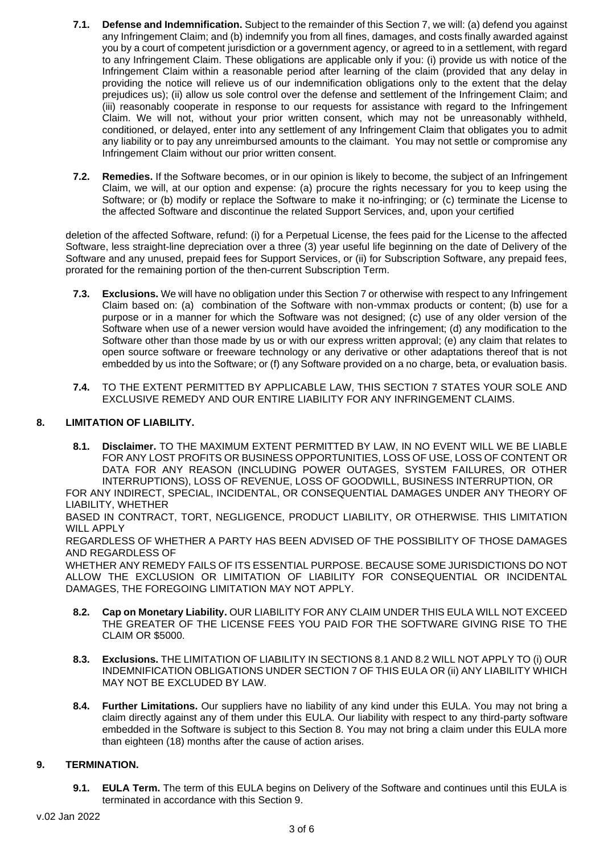- **7.1. Defense and Indemnification.** Subject to the remainder of this Section 7, we will: (a) defend you against any Infringement Claim; and (b) indemnify you from all fines, damages, and costs finally awarded against you by a court of competent jurisdiction or a government agency, or agreed to in a settlement, with regard to any Infringement Claim. These obligations are applicable only if you: (i) provide us with notice of the Infringement Claim within a reasonable period after learning of the claim (provided that any delay in providing the notice will relieve us of our indemnification obligations only to the extent that the delay prejudices us); (ii) allow us sole control over the defense and settlement of the Infringement Claim; and (iii) reasonably cooperate in response to our requests for assistance with regard to the Infringement Claim. We will not, without your prior written consent, which may not be unreasonably withheld, conditioned, or delayed, enter into any settlement of any Infringement Claim that obligates you to admit any liability or to pay any unreimbursed amounts to the claimant. You may not settle or compromise any Infringement Claim without our prior written consent.
- **7.2. Remedies.** If the Software becomes, or in our opinion is likely to become, the subject of an Infringement Claim, we will, at our option and expense: (a) procure the rights necessary for you to keep using the Software; or (b) modify or replace the Software to make it no-infringing; or (c) terminate the License to the affected Software and discontinue the related Support Services, and, upon your certified

deletion of the affected Software, refund: (i) for a Perpetual License, the fees paid for the License to the affected Software, less straight-line depreciation over a three (3) year useful life beginning on the date of Delivery of the Software and any unused, prepaid fees for Support Services, or (ii) for Subscription Software, any prepaid fees, prorated for the remaining portion of the then-current Subscription Term.

- **7.3. Exclusions.** We will have no obligation under this Section 7 or otherwise with respect to any Infringement Claim based on: (a) combination of the Software with non-vmmax products or content; (b) use for a purpose or in a manner for which the Software was not designed; (c) use of any older version of the Software when use of a newer version would have avoided the infringement; (d) any modification to the Software other than those made by us or with our express written approval; (e) any claim that relates to open source software or freeware technology or any derivative or other adaptations thereof that is not embedded by us into the Software; or (f) any Software provided on a no charge, beta, or evaluation basis.
- **7.4.** TO THE EXTENT PERMITTED BY APPLICABLE LAW, THIS SECTION 7 STATES YOUR SOLE AND EXCLUSIVE REMEDY AND OUR ENTIRE LIABILITY FOR ANY INFRINGEMENT CLAIMS.

# **8. LIMITATION OF LIABILITY.**

**8.1. Disclaimer.** TO THE MAXIMUM EXTENT PERMITTED BY LAW, IN NO EVENT WILL WE BE LIABLE FOR ANY LOST PROFITS OR BUSINESS OPPORTUNITIES, LOSS OF USE, LOSS OF CONTENT OR DATA FOR ANY REASON (INCLUDING POWER OUTAGES, SYSTEM FAILURES, OR OTHER INTERRUPTIONS), LOSS OF REVENUE, LOSS OF GOODWILL, BUSINESS INTERRUPTION, OR

FOR ANY INDIRECT, SPECIAL, INCIDENTAL, OR CONSEQUENTIAL DAMAGES UNDER ANY THEORY OF LIABILITY, WHETHER

BASED IN CONTRACT, TORT, NEGLIGENCE, PRODUCT LIABILITY, OR OTHERWISE. THIS LIMITATION WILL APPLY

REGARDLESS OF WHETHER A PARTY HAS BEEN ADVISED OF THE POSSIBILITY OF THOSE DAMAGES AND REGARDLESS OF

WHETHER ANY REMEDY FAILS OF ITS ESSENTIAL PURPOSE. BECAUSE SOME JURISDICTIONS DO NOT ALLOW THE EXCLUSION OR LIMITATION OF LIABILITY FOR CONSEQUENTIAL OR INCIDENTAL DAMAGES, THE FOREGOING LIMITATION MAY NOT APPLY.

- **8.2. Cap on Monetary Liability.** OUR LIABILITY FOR ANY CLAIM UNDER THIS EULA WILL NOT EXCEED THE GREATER OF THE LICENSE FEES YOU PAID FOR THE SOFTWARE GIVING RISE TO THE CLAIM OR \$5000.
- **8.3. Exclusions.** THE LIMITATION OF LIABILITY IN SECTIONS 8.1 AND 8.2 WILL NOT APPLY TO (i) OUR INDEMNIFICATION OBLIGATIONS UNDER SECTION 7 OF THIS EULA OR (ii) ANY LIABILITY WHICH MAY NOT BE EXCLUDED BY LAW.
- **8.4. Further Limitations.** Our suppliers have no liability of any kind under this EULA. You may not bring a claim directly against any of them under this EULA. Our liability with respect to any third-party software embedded in the Software is subject to this Section 8. You may not bring a claim under this EULA more than eighteen (18) months after the cause of action arises.

# **9. TERMINATION.**

**9.1. EULA Term.** The term of this EULA begins on Delivery of the Software and continues until this EULA is terminated in accordance with this Section 9.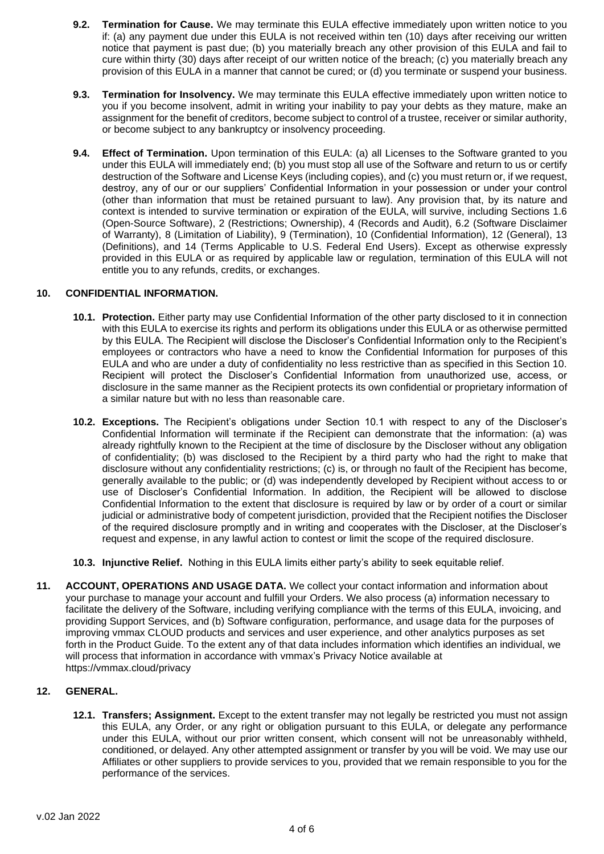- **9.2. Termination for Cause.** We may terminate this EULA effective immediately upon written notice to you if: (a) any payment due under this EULA is not received within ten (10) days after receiving our written notice that payment is past due; (b) you materially breach any other provision of this EULA and fail to cure within thirty (30) days after receipt of our written notice of the breach; (c) you materially breach any provision of this EULA in a manner that cannot be cured; or (d) you terminate or suspend your business.
- **9.3. Termination for Insolvency.** We may terminate this EULA effective immediately upon written notice to you if you become insolvent, admit in writing your inability to pay your debts as they mature, make an assignment for the benefit of creditors, become subject to control of a trustee, receiver or similar authority, or become subject to any bankruptcy or insolvency proceeding.
- **9.4. Effect of Termination.** Upon termination of this EULA: (a) all Licenses to the Software granted to you under this EULA will immediately end; (b) you must stop all use of the Software and return to us or certify destruction of the Software and License Keys (including copies), and (c) you must return or, if we request, destroy, any of our or our suppliers' Confidential Information in your possession or under your control (other than information that must be retained pursuant to law). Any provision that, by its nature and context is intended to survive termination or expiration of the EULA, will survive, including Sections 1.6 (Open-Source Software), 2 (Restrictions; Ownership), 4 (Records and Audit), 6.2 (Software Disclaimer of Warranty), 8 (Limitation of Liability), 9 (Termination), 10 (Confidential Information), 12 (General), 13 (Definitions), and 14 (Terms Applicable to U.S. Federal End Users). Except as otherwise expressly provided in this EULA or as required by applicable law or regulation, termination of this EULA will not entitle you to any refunds, credits, or exchanges.

#### **10. CONFIDENTIAL INFORMATION.**

- **10.1. Protection.** Either party may use Confidential Information of the other party disclosed to it in connection with this EULA to exercise its rights and perform its obligations under this EULA or as otherwise permitted by this EULA. The Recipient will disclose the Discloser's Confidential Information only to the Recipient's employees or contractors who have a need to know the Confidential Information for purposes of this EULA and who are under a duty of confidentiality no less restrictive than as specified in this Section 10. Recipient will protect the Discloser's Confidential Information from unauthorized use, access, or disclosure in the same manner as the Recipient protects its own confidential or proprietary information of a similar nature but with no less than reasonable care.
- **10.2. Exceptions.** The Recipient's obligations under Section 10.1 with respect to any of the Discloser's Confidential Information will terminate if the Recipient can demonstrate that the information: (a) was already rightfully known to the Recipient at the time of disclosure by the Discloser without any obligation of confidentiality; (b) was disclosed to the Recipient by a third party who had the right to make that disclosure without any confidentiality restrictions; (c) is, or through no fault of the Recipient has become, generally available to the public; or (d) was independently developed by Recipient without access to or use of Discloser's Confidential Information. In addition, the Recipient will be allowed to disclose Confidential Information to the extent that disclosure is required by law or by order of a court or similar judicial or administrative body of competent jurisdiction, provided that the Recipient notifies the Discloser of the required disclosure promptly and in writing and cooperates with the Discloser, at the Discloser's request and expense, in any lawful action to contest or limit the scope of the required disclosure.
- **10.3. Injunctive Relief.** Nothing in this EULA limits either party's ability to seek equitable relief.
- **11. ACCOUNT, OPERATIONS AND USAGE DATA.** We collect your contact information and information about your purchase to manage your account and fulfill your Orders. We also process (a) information necessary to facilitate the delivery of the Software, including verifying compliance with the terms of this EULA, invoicing, and providing Support Services, and (b) Software configuration, performance, and usage data for the purposes of improving vmmax CLOUD products and services and user experience, and other analytics purposes as set forth in the Product Guide. To the extent any of that data includes information which identifies an individual, we will process that information in accordance with vmmax's Privacy Notice available at https://vmmax.cloud/privacy

## **12. GENERAL.**

**12.1. Transfers; Assignment.** Except to the extent transfer may not legally be restricted you must not assign this EULA, any Order, or any right or obligation pursuant to this EULA, or delegate any performance under this EULA, without our prior written consent, which consent will not be unreasonably withheld, conditioned, or delayed. Any other attempted assignment or transfer by you will be void. We may use our Affiliates or other suppliers to provide services to you, provided that we remain responsible to you for the performance of the services.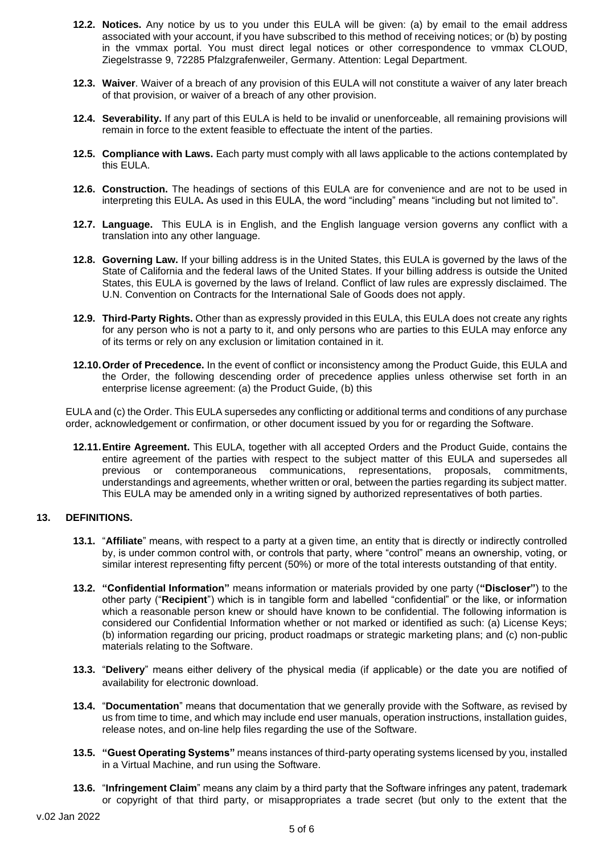- **12.2. Notices.** Any notice by us to you under this EULA will be given: (a) by email to the email address associated with your account, if you have subscribed to this method of receiving notices; or (b) by posting in the vmmax portal. You must direct legal notices or other correspondence to vmmax CLOUD, Ziegelstrasse 9, 72285 Pfalzgrafenweiler, Germany. Attention: Legal Department.
- **12.3. Waiver**. Waiver of a breach of any provision of this EULA will not constitute a waiver of any later breach of that provision, or waiver of a breach of any other provision.
- **12.4. Severability.** If any part of this EULA is held to be invalid or unenforceable, all remaining provisions will remain in force to the extent feasible to effectuate the intent of the parties.
- **12.5. Compliance with Laws.** Each party must comply with all laws applicable to the actions contemplated by this EULA.
- **12.6. Construction.** The headings of sections of this EULA are for convenience and are not to be used in interpreting this EULA**.** As used in this EULA, the word "including" means "including but not limited to".
- **12.7. Language.** This EULA is in English, and the English language version governs any conflict with a translation into any other language.
- **12.8. Governing Law.** If your billing address is in the United States, this EULA is governed by the laws of the State of California and the federal laws of the United States. If your billing address is outside the United States, this EULA is governed by the laws of Ireland. Conflict of law rules are expressly disclaimed. The U.N. Convention on Contracts for the International Sale of Goods does not apply.
- **12.9. Third-Party Rights.** Other than as expressly provided in this EULA, this EULA does not create any rights for any person who is not a party to it, and only persons who are parties to this EULA may enforce any of its terms or rely on any exclusion or limitation contained in it.
- **12.10.Order of Precedence.** In the event of conflict or inconsistency among the Product Guide, this EULA and the Order, the following descending order of precedence applies unless otherwise set forth in an enterprise license agreement: (a) the Product Guide, (b) this

EULA and (c) the Order. This EULA supersedes any conflicting or additional terms and conditions of any purchase order, acknowledgement or confirmation, or other document issued by you for or regarding the Software.

**12.11.Entire Agreement.** This EULA, together with all accepted Orders and the Product Guide, contains the entire agreement of the parties with respect to the subject matter of this EULA and supersedes all previous or contemporaneous communications, representations, proposals, commitments, understandings and agreements, whether written or oral, between the parties regarding its subject matter. This EULA may be amended only in a writing signed by authorized representatives of both parties.

# **13. DEFINITIONS.**

- **13.1.** "**Affiliate**" means, with respect to a party at a given time, an entity that is directly or indirectly controlled by, is under common control with, or controls that party, where "control" means an ownership, voting, or similar interest representing fifty percent (50%) or more of the total interests outstanding of that entity.
- **13.2. "Confidential Information"** means information or materials provided by one party (**"Discloser"**) to the other party ("**Recipient**") which is in tangible form and labelled "confidential" or the like, or information which a reasonable person knew or should have known to be confidential. The following information is considered our Confidential Information whether or not marked or identified as such: (a) License Keys; (b) information regarding our pricing, product roadmaps or strategic marketing plans; and (c) non-public materials relating to the Software.
- **13.3.** "**Delivery**" means either delivery of the physical media (if applicable) or the date you are notified of availability for electronic download.
- **13.4.** "**Documentation**" means that documentation that we generally provide with the Software, as revised by us from time to time, and which may include end user manuals, operation instructions, installation guides, release notes, and on-line help files regarding the use of the Software.
- **13.5. "Guest Operating Systems"** means instances of third-party operating systems licensed by you, installed in a Virtual Machine, and run using the Software.
- **13.6.** "**Infringement Claim**" means any claim by a third party that the Software infringes any patent, trademark or copyright of that third party, or misappropriates a trade secret (but only to the extent that the